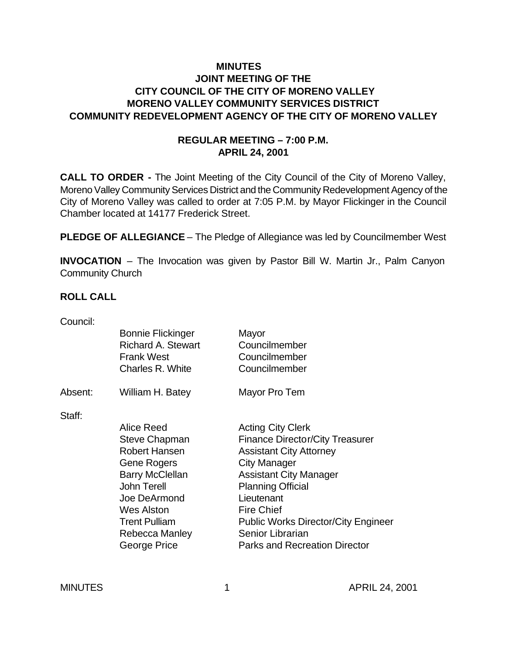# **MINUTES JOINT MEETING OF THE CITY COUNCIL OF THE CITY OF MORENO VALLEY MORENO VALLEY COMMUNITY SERVICES DISTRICT COMMUNITY REDEVELOPMENT AGENCY OF THE CITY OF MORENO VALLEY**

### **REGULAR MEETING – 7:00 P.M. APRIL 24, 2001**

**CALL TO ORDER -** The Joint Meeting of the City Council of the City of Moreno Valley, Moreno Valley Community Services District and the Community Redevelopment Agency of the City of Moreno Valley was called to order at 7:05 P.M. by Mayor Flickinger in the Council Chamber located at 14177 Frederick Street.

**PLEDGE OF ALLEGIANCE** – The Pledge of Allegiance was led by Councilmember West

**INVOCATION** – The Invocation was given by Pastor Bill W. Martin Jr., Palm Canyon Community Church

#### **ROLL CALL**

| Council: |                                                       |                                            |
|----------|-------------------------------------------------------|--------------------------------------------|
|          | <b>Bonnie Flickinger</b><br><b>Richard A. Stewart</b> | Mayor<br>Councilmember                     |
|          | <b>Frank West</b><br>Charles R. White                 | Councilmember<br>Councilmember             |
| Absent:  | William H. Batey                                      | Mayor Pro Tem                              |
| Staff:   |                                                       |                                            |
|          | Alice Reed                                            | <b>Acting City Clerk</b>                   |
|          | Steve Chapman                                         | <b>Finance Director/City Treasurer</b>     |
|          | Robert Hansen                                         | <b>Assistant City Attorney</b>             |
|          | Gene Rogers                                           | <b>City Manager</b>                        |
|          | <b>Barry McClellan</b>                                | <b>Assistant City Manager</b>              |
|          | <b>John Terell</b>                                    | <b>Planning Official</b>                   |
|          | Joe DeArmond                                          | Lieutenant                                 |
|          | <b>Wes Alston</b>                                     | <b>Fire Chief</b>                          |
|          | <b>Trent Pulliam</b>                                  | <b>Public Works Director/City Engineer</b> |
|          | Rebecca Manley                                        | Senior Librarian                           |
|          | George Price                                          | <b>Parks and Recreation Director</b>       |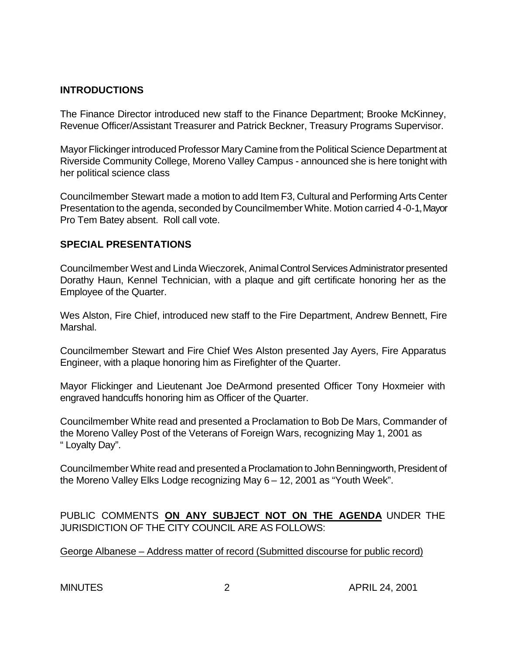### **INTRODUCTIONS**

The Finance Director introduced new staff to the Finance Department; Brooke McKinney, Revenue Officer/Assistant Treasurer and Patrick Beckner, Treasury Programs Supervisor.

Mayor Flickinger introduced Professor Mary Camine from the Political Science Department at Riverside Community College, Moreno Valley Campus - announced she is here tonight with her political science class

Councilmember Stewart made a motion to add Item F3, Cultural and Performing Arts Center Presentation to the agenda, seconded by Councilmember White. Motion carried 4-0-1, Mayor Pro Tem Batey absent. Roll call vote.

### **SPECIAL PRESENTATIONS**

Councilmember West and Linda Wieczorek, Animal Control Services Administrator presented Dorathy Haun, Kennel Technician, with a plaque and gift certificate honoring her as the Employee of the Quarter.

Wes Alston, Fire Chief, introduced new staff to the Fire Department, Andrew Bennett, Fire Marshal.

Councilmember Stewart and Fire Chief Wes Alston presented Jay Ayers, Fire Apparatus Engineer, with a plaque honoring him as Firefighter of the Quarter.

Mayor Flickinger and Lieutenant Joe DeArmond presented Officer Tony Hoxmeier with engraved handcuffs honoring him as Officer of the Quarter.

Councilmember White read and presented a Proclamation to Bob De Mars, Commander of the Moreno Valley Post of the Veterans of Foreign Wars, recognizing May 1, 2001 as " Loyalty Day".

Councilmember White read and presented a Proclamation to John Benningworth, President of the Moreno Valley Elks Lodge recognizing May 6 – 12, 2001 as "Youth Week".

PUBLIC COMMENTS **ON ANY SUBJECT NOT ON THE AGENDA** UNDER THE JURISDICTION OF THE CITY COUNCIL ARE AS FOLLOWS:

George Albanese – Address matter of record (Submitted discourse for public record)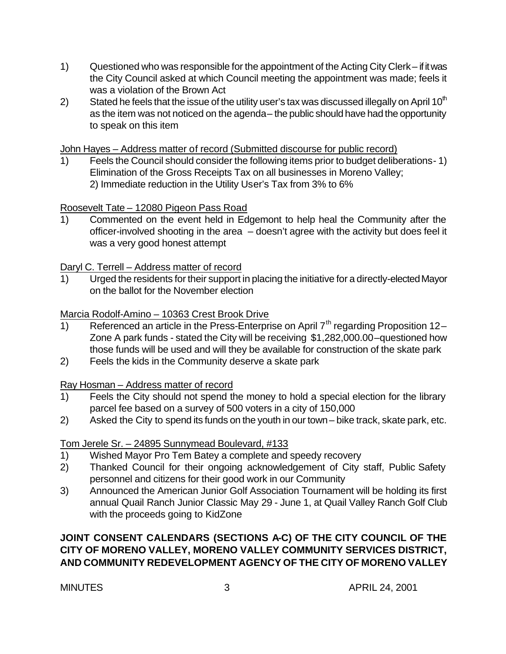- 1) Questioned who was responsible for the appointment of the Acting City Clerk if it was the City Council asked at which Council meeting the appointment was made; feels it was a violation of the Brown Act
- 2) Stated he feels that the issue of the utility user's tax was discussed illegally on April 10<sup>th</sup> as the item was not noticed on the agenda – the public should have had the opportunity to speak on this item

John Hayes – Address matter of record (Submitted discourse for public record)

1) Feels the Council should consider the following items prior to budget deliberations- 1) Elimination of the Gross Receipts Tax on all businesses in Moreno Valley; 2) Immediate reduction in the Utility User's Tax from 3% to 6%

Roosevelt Tate – 12080 Pigeon Pass Road

1) Commented on the event held in Edgemont to help heal the Community after the officer-involved shooting in the area – doesn't agree with the activity but does feel it was a very good honest attempt

Daryl C. Terrell – Address matter of record

1) Urged the residents for their support in placing the initiative for a directly-elected Mayor on the ballot for the November election

Marcia Rodolf-Amino – 10363 Crest Brook Drive

- 1) Referenced an article in the Press-Enterprise on April  $7<sup>th</sup>$  regarding Proposition 12– Zone A park funds - stated the City will be receiving \$1,282,000.00 –questioned how those funds will be used and will they be available for construction of the skate park
- 2) Feels the kids in the Community deserve a skate park

Ray Hosman – Address matter of record

- 1) Feels the City should not spend the money to hold a special election for the library parcel fee based on a survey of 500 voters in a city of 150,000
- 2) Asked the City to spend its funds on the youth in our town bike track, skate park, etc.

# Tom Jerele Sr. – 24895 Sunnymead Boulevard, #133

- 1) Wished Mayor Pro Tem Batey a complete and speedy recovery
- 2) Thanked Council for their ongoing acknowledgement of City staff, Public Safety personnel and citizens for their good work in our Community
- 3) Announced the American Junior Golf Association Tournament will be holding its first annual Quail Ranch Junior Classic May 29 - June 1, at Quail Valley Ranch Golf Club with the proceeds going to KidZone

# **JOINT CONSENT CALENDARS (SECTIONS A-C) OF THE CITY COUNCIL OF THE CITY OF MORENO VALLEY, MORENO VALLEY COMMUNITY SERVICES DISTRICT, AND COMMUNITY REDEVELOPMENT AGENCY OF THE CITY OF MORENO VALLEY**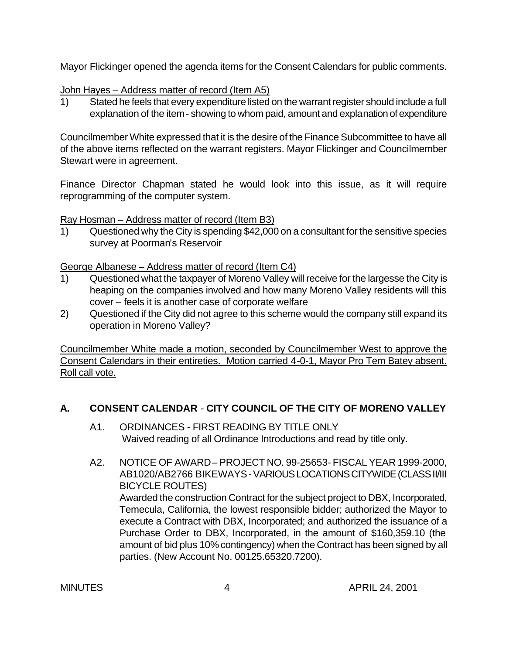Mayor Flickinger opened the agenda items for the Consent Calendars for public comments.

#### John Hayes – Address matter of record (Item A5)

1) Stated he feels that every expenditure listed on the warrant register should include a full explanation of the item - showing to whom paid, amount and explanation of expenditure

Councilmember White expressed that it is the desire of the Finance Subcommittee to have all of the above items reflected on the warrant registers. Mayor Flickinger and Councilmember Stewart were in agreement.

Finance Director Chapman stated he would look into this issue, as it will require reprogramming of the computer system.

Ray Hosman – Address matter of record (Item B3)

1) Questioned why the City is spending \$42,000 on a consultant for the sensitive species survey at Poorman's Reservoir

George Albanese – Address matter of record (Item C4)

- 1) Questioned what the taxpayer of Moreno Valley will receive for the largesse the City is heaping on the companies involved and how many Moreno Valley residents will this cover – feels it is another case of corporate welfare
- 2) Questioned if the City did not agree to this scheme would the company still expand its operation in Moreno Valley?

Councilmember White made a motion, seconded by Councilmember West to approve the Consent Calendars in their entireties. Motion carried 4-0-1, Mayor Pro Tem Batey absent. Roll call vote.

# **A. CONSENT CALENDAR** - **CITY COUNCIL OF THE CITY OF MORENO VALLEY**

- A1. ORDINANCES FIRST READING BY TITLE ONLY Waived reading of all Ordinance Introductions and read by title only.
- A2. NOTICE OF AWARD PROJECT NO. 99-25653- FISCAL YEAR 1999-2000, AB1020/AB2766 BIKEWAYS - VARIOUS LOCATIONS CITYWIDE (CLASS II/III BICYCLE ROUTES) Awarded the construction Contract for the subject project to DBX, Incorporated, Temecula, California, the lowest responsible bidder; authorized the Mayor to execute a Contract with DBX, Incorporated; and authorized the issuance of a Purchase Order to DBX, Incorporated, in the amount of \$160,359.10 (the amount of bid plus 10% contingency) when the Contract has been signed by all parties. (New Account No. 00125.65320.7200).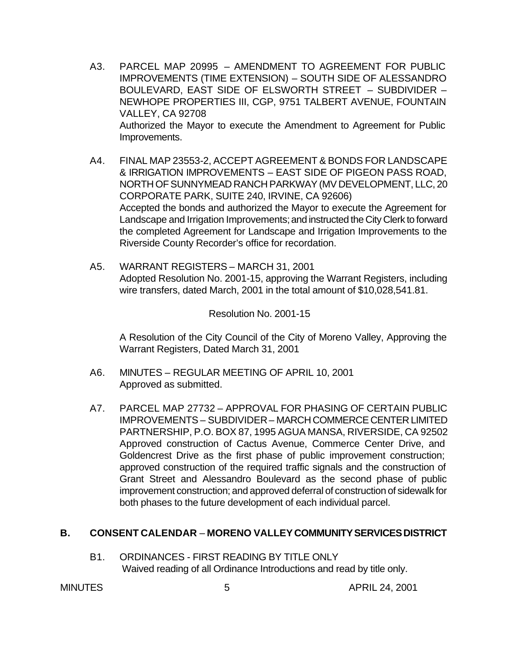- A3. PARCEL MAP 20995 AMENDMENT TO AGREEMENT FOR PUBLIC IMPROVEMENTS (TIME EXTENSION) – SOUTH SIDE OF ALESSANDRO BOULEVARD, EAST SIDE OF ELSWORTH STREET – SUBDIVIDER – NEWHOPE PROPERTIES III, CGP, 9751 TALBERT AVENUE, FOUNTAIN VALLEY, CA 92708 Authorized the Mayor to execute the Amendment to Agreement for Public Improvements.
- A4. FINAL MAP 23553-2, ACCEPT AGREEMENT & BONDS FOR LANDSCAPE & IRRIGATION IMPROVEMENTS – EAST SIDE OF PIGEON PASS ROAD, NORTH OF SUNNYMEAD RANCH PARKWAY (MV DEVELOPMENT, LLC, 20 CORPORATE PARK, SUITE 240, IRVINE, CA 92606) Accepted the bonds and authorized the Mayor to execute the Agreement for Landscape and Irrigation Improvements; and instructed the City Clerk to forward the completed Agreement for Landscape and Irrigation Improvements to the Riverside County Recorder's office for recordation.
- A5. WARRANT REGISTERS MARCH 31, 2001 Adopted Resolution No. 2001-15, approving the Warrant Registers, including wire transfers, dated March, 2001 in the total amount of \$10,028,541.81.

Resolution No. 2001-15

A Resolution of the City Council of the City of Moreno Valley, Approving the Warrant Registers, Dated March 31, 2001

- A6. MINUTES REGULAR MEETING OF APRIL 10, 2001 Approved as submitted.
- A7. PARCEL MAP 27732 APPROVAL FOR PHASING OF CERTAIN PUBLIC IMPROVEMENTS – SUBDIVIDER – MARCH COMMERCE CENTER LIMITED PARTNERSHIP, P.O. BOX 87, 1995 AGUA MANSA, RIVERSIDE, CA 92502 Approved construction of Cactus Avenue, Commerce Center Drive, and Goldencrest Drive as the first phase of public improvement construction; approved construction of the required traffic signals and the construction of Grant Street and Alessandro Boulevard as the second phase of public improvement construction; and approved deferral of construction of sidewalk for both phases to the future development of each individual parcel.

#### **B. CONSENT CALENDAR** – **MORENO VALLEY COMMUNITY SERVICES DISTRICT**

B1. ORDINANCES - FIRST READING BY TITLE ONLY Waived reading of all Ordinance Introductions and read by title only.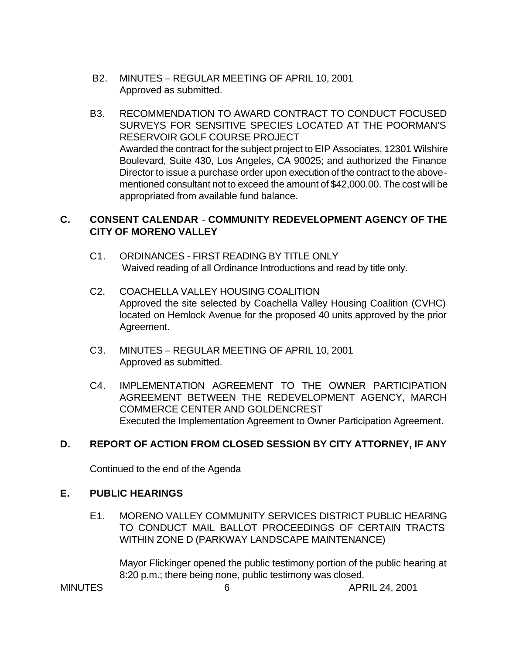- B2. MINUTES REGULAR MEETING OF APRIL 10, 2001 Approved as submitted.
- B3. RECOMMENDATION TO AWARD CONTRACT TO CONDUCT FOCUSED SURVEYS FOR SENSITIVE SPECIES LOCATED AT THE POORMAN'S RESERVOIR GOLF COURSE PROJECT Awarded the contract for the subject project to EIP Associates, 12301 Wilshire Boulevard, Suite 430, Los Angeles, CA 90025; and authorized the Finance Director to issue a purchase order upon execution of the contract to the abovementioned consultant not to exceed the amount of \$42,000.00. The cost will be appropriated from available fund balance.

# **C. CONSENT CALENDAR** - **COMMUNITY REDEVELOPMENT AGENCY OF THE CITY OF MORENO VALLEY**

- C1. ORDINANCES FIRST READING BY TITLE ONLY Waived reading of all Ordinance Introductions and read by title only.
- C2. COACHELLA VALLEY HOUSING COALITION Approved the site selected by Coachella Valley Housing Coalition (CVHC) located on Hemlock Avenue for the proposed 40 units approved by the prior Agreement.
- C3. MINUTES REGULAR MEETING OF APRIL 10, 2001 Approved as submitted.
- C4. IMPLEMENTATION AGREEMENT TO THE OWNER PARTICIPATION AGREEMENT BETWEEN THE REDEVELOPMENT AGENCY, MARCH COMMERCE CENTER AND GOLDENCREST Executed the Implementation Agreement to Owner Participation Agreement.

# **D. REPORT OF ACTION FROM CLOSED SESSION BY CITY ATTORNEY, IF ANY**

Continued to the end of the Agenda

### **E. PUBLIC HEARINGS**

E1. MORENO VALLEY COMMUNITY SERVICES DISTRICT PUBLIC HEARING TO CONDUCT MAIL BALLOT PROCEEDINGS OF CERTAIN TRACTS WITHIN ZONE D (PARKWAY LANDSCAPE MAINTENANCE)

Mayor Flickinger opened the public testimony portion of the public hearing at 8:20 p.m.; there being none, public testimony was closed.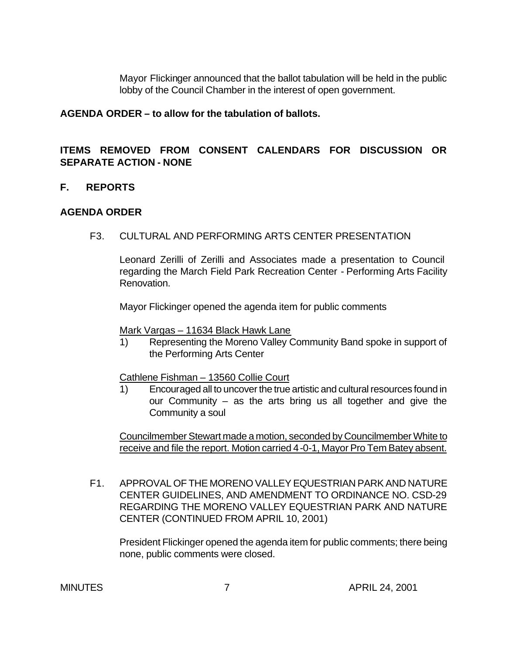Mayor Flickinger announced that the ballot tabulation will be held in the public lobby of the Council Chamber in the interest of open government.

#### **AGENDA ORDER – to allow for the tabulation of ballots.**

# **ITEMS REMOVED FROM CONSENT CALENDARS FOR DISCUSSION OR SEPARATE ACTION - NONE**

### **F. REPORTS**

### **AGENDA ORDER**

F3. CULTURAL AND PERFORMING ARTS CENTER PRESENTATION

Leonard Zerilli of Zerilli and Associates made a presentation to Council regarding the March Field Park Recreation Center - Performing Arts Facility Renovation.

Mayor Flickinger opened the agenda item for public comments

Mark Vargas – 11634 Black Hawk Lane

1) Representing the Moreno Valley Community Band spoke in support of the Performing Arts Center

Cathlene Fishman – 13560 Collie Court

1) Encouraged all to uncover the true artistic and cultural resources found in our Community – as the arts bring us all together and give the Community a soul

Councilmember Stewart made a motion, seconded by Councilmember White to receive and file the report. Motion carried 4-0-1, Mayor Pro Tem Batey absent.

F1. APPROVAL OF THE MORENO VALLEY EQUESTRIAN PARK AND NATURE CENTER GUIDELINES, AND AMENDMENT TO ORDINANCE NO. CSD-29 REGARDING THE MORENO VALLEY EQUESTRIAN PARK AND NATURE CENTER (CONTINUED FROM APRIL 10, 2001)

President Flickinger opened the agenda item for public comments; there being none, public comments were closed.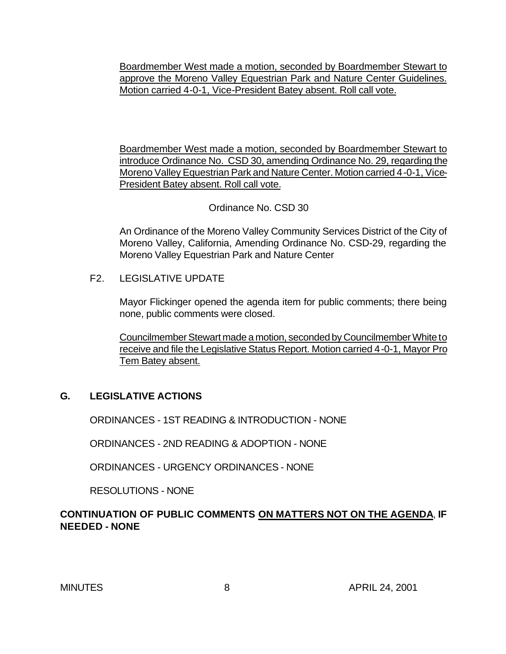Boardmember West made a motion, seconded by Boardmember Stewart to approve the Moreno Valley Equestrian Park and Nature Center Guidelines. Motion carried 4-0-1, Vice-President Batey absent. Roll call vote.

Boardmember West made a motion, seconded by Boardmember Stewart to introduce Ordinance No. CSD 30, amending Ordinance No. 29, regarding the Moreno Valley Equestrian Park and Nature Center. Motion carried 4-0-1, Vice-President Batey absent. Roll call vote.

#### Ordinance No. CSD 30

An Ordinance of the Moreno Valley Community Services District of the City of Moreno Valley, California, Amending Ordinance No. CSD-29, regarding the Moreno Valley Equestrian Park and Nature Center

### F2. LEGISLATIVE UPDATE

Mayor Flickinger opened the agenda item for public comments; there being none, public comments were closed.

Councilmember Stewart made a motion, seconded by Councilmember White to receive and file the Legislative Status Report. Motion carried 4-0-1, Mayor Pro Tem Batey absent.

#### **G. LEGISLATIVE ACTIONS**

ORDINANCES - 1ST READING & INTRODUCTION - NONE

ORDINANCES - 2ND READING & ADOPTION - NONE

ORDINANCES - URGENCY ORDINANCES - NONE

RESOLUTIONS - NONE

# **CONTINUATION OF PUBLIC COMMENTS ON MATTERS NOT ON THE AGENDA**, **IF NEEDED - NONE**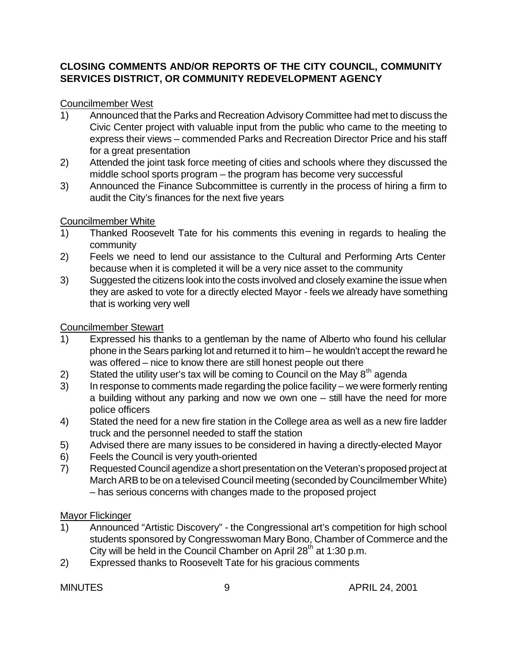# **CLOSING COMMENTS AND/OR REPORTS OF THE CITY COUNCIL, COMMUNITY SERVICES DISTRICT, OR COMMUNITY REDEVELOPMENT AGENCY**

# Councilmember West

- 1) Announced that the Parks and Recreation Advisory Committee had met to discuss the Civic Center project with valuable input from the public who came to the meeting to express their views – commended Parks and Recreation Director Price and his staff for a great presentation
- 2) Attended the joint task force meeting of cities and schools where they discussed the middle school sports program – the program has become very successful
- 3) Announced the Finance Subcommittee is currently in the process of hiring a firm to audit the City's finances for the next five years

# Councilmember White

- 1) Thanked Roosevelt Tate for his comments this evening in regards to healing the community
- 2) Feels we need to lend our assistance to the Cultural and Performing Arts Center because when it is completed it will be a very nice asset to the community
- 3) Suggested the citizens look into the costs involved and closely examine the issue when they are asked to vote for a directly elected Mayor - feels we already have something that is working very well

# Councilmember Stewart

- 1) Expressed his thanks to a gentleman by the name of Alberto who found his cellular phone in the Sears parking lot and returned it to him – he wouldn't accept the reward he was offered – nice to know there are still honest people out there
- 2) Stated the utility user's tax will be coming to Council on the May  $8<sup>th</sup>$  agenda
- 3) In response to comments made regarding the police facility we were formerly renting a building without any parking and now we own one – still have the need for more police officers
- 4) Stated the need for a new fire station in the College area as well as a new fire ladder truck and the personnel needed to staff the station
- 5) Advised there are many issues to be considered in having a directly-elected Mayor
- 6) Feels the Council is very youth-oriented
- 7) Requested Council agendize a short presentation on the Veteran's proposed project at March ARB to be on a televised Council meeting (seconded by Councilmember White) – has serious concerns with changes made to the proposed project

# Mayor Flickinger

- 1) Announced "Artistic Discovery" the Congressional art's competition for high school students sponsored by Congresswoman Mary Bono, Chamber of Commerce and the City will be held in the Council Chamber on April 28<sup>th</sup> at 1:30 p.m.
- 2) Expressed thanks to Roosevelt Tate for his gracious comments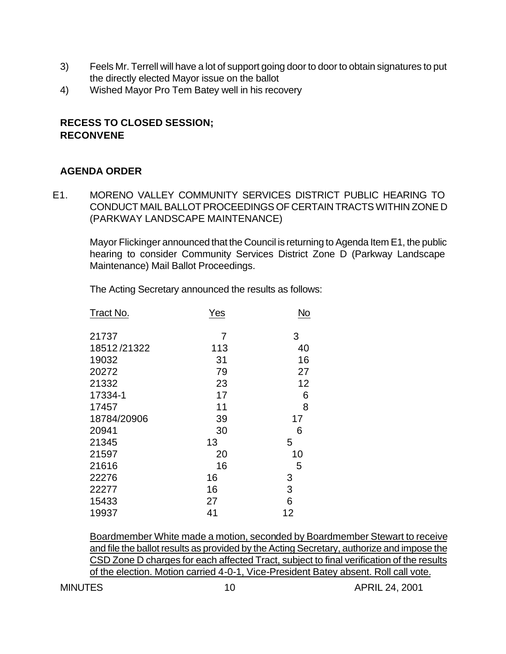- 3) Feels Mr. Terrell will have a lot of support going door to door to obtain signatures to put the directly elected Mayor issue on the ballot
- 4) Wished Mayor Pro Tem Batey well in his recovery

# **RECESS TO CLOSED SESSION; RECONVENE**

# **AGENDA ORDER**

E1. MORENO VALLEY COMMUNITY SERVICES DISTRICT PUBLIC HEARING TO CONDUCT MAIL BALLOT PROCEEDINGS OF CERTAIN TRACTS WITHIN ZONE D (PARKWAY LANDSCAPE MAINTENANCE)

Mayor Flickinger announced that the Council is returning to Agenda Item E1, the public hearing to consider Community Services District Zone D (Parkway Landscape Maintenance) Mail Ballot Proceedings.

The Acting Secretary announced the results as follows:

| Tract No.   | <b>Yes</b> | <b>No</b> |
|-------------|------------|-----------|
| 21737       | 7          | 3         |
| 18512/21322 | 113        | 40        |
| 19032       | 31         | 16        |
| 20272       | 79         | 27        |
| 21332       | 23         | 12        |
| 17334-1     | 17         | 6         |
| 17457       | 11         | 8         |
| 18784/20906 | 39         | 17        |
| 20941       | 30         | 6         |
| 21345       | 13         | 5         |
| 21597       | 20         | 10        |
| 21616       | 16         | 5         |
| 22276       | 16         | 3         |
| 22277       | 16         | 3         |
| 15433       | 27         | 6         |
| 19937       | 41         | 12        |

Boardmember White made a motion, seconded by Boardmember Stewart to receive and file the ballot results as provided by the Acting Secretary, authorize and impose the CSD Zone D charges for each affected Tract, subject to final verification of the results of the election. Motion carried 4-0-1, Vice-President Batey absent. Roll call vote.